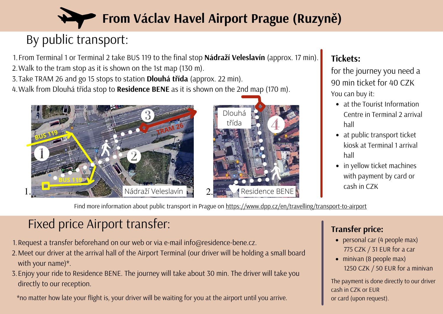

# By public transport:

From Terminal 1 or Terminal 2 take BUS 119 to the final stop **Nádraží Veleslavín** (approx. 17 min). 1. Walk to the tram stop as it is shown on the 1st map (130 m). 2.

Take TRAM 26 and go 15 stops to station **Dlouhá třída** (approx. 22 min). 3.

Walk from Dlouhá třída stop to **Residence BENE** as it is shown on the 2nd map (170 m). 4.





#### **Tickets:**

for the journey you need a 90 min ticket for 40 CZK You can buy it:

- at the Tourist Information Centre in Terminal 2 arrival hall
- at public transport ticket kiosk at Terminal 1 arrival hall
- in yellow ticket machines with payment by card or cash in CZK

Find more information about public transport in Prague on https://www.dpp.cz/en/travelling/transport-to-airport

# Fixed price Airport transfer:

- Request a transfer beforehand on our web or via e-mail info@residence-bene.cz. 1.
- Meet our driver at the arrival hall of the Airport Terminal (our driver will be holding a small board 2. with your name)\*.
- Enjoy your ride to Residence BENE. The journey will take about 30 min. The driver will take you 3. directly to our reception.

\*no matter how late your flight is, your driver will be waiting for you at the airport until you arrive.

#### **Transfer price:**

- personal car (4 people max) 775 CZK / 31 EUR for a car
- minivan (8 people max) 1250 CZK / 50 EUR for a minivan

The payment is done directly to our driver cash in CZK or EUR or card (upon request).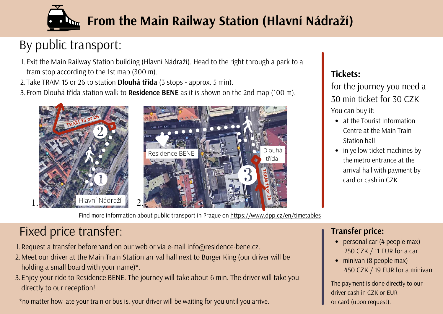

# By public transport:

1. Exit the Main Railway Station building (Hlavní Nádraží). Head to the right through a park to a tram stop according to the 1st map (300 m).

Take TRAM 15 or 26 to station **Dlouhá třída** (3 stops - approx. 5 min). 2.

From Dlouhá třída station walk to **Residence BENE** as it is shown on the 2nd map (100 m). 3.



Find more information about public transport in Prague on https://www.dpp.cz/en/timetables

### **Tickets:**

for the journey you need a 30 min ticket for 30 CZK You can buy it:

- at the Tourist Information Centre at the Main Train Station hall
- in yellow ticket machines by the metro entrance at the arrival hall with payment by card or cash in CZK

## Fixed price transfer:

1. Request a transfer beforehand on our web or via e-mail info@residence-bene.cz.

- Meet our driver at the Main Train Station arrival hall next to Burger King (our driver will be 2. holding a small board with your name)\*.
- Enjoy your ride to Residence BENE. The journey will take about 6 min. The driver will take you 3. directly to our reception!

\*no matter how late your train or bus is, your driver will be waiting for you until you arrive.

### **Transfer price:**

- personal car (4 people max) 250 CZK / 11 EUR for a car
- minivan (8 people max) 450 CZK / 19 EUR for a minivan

The payment is done directly to our driver cash in CZK or EUR or card (upon request).